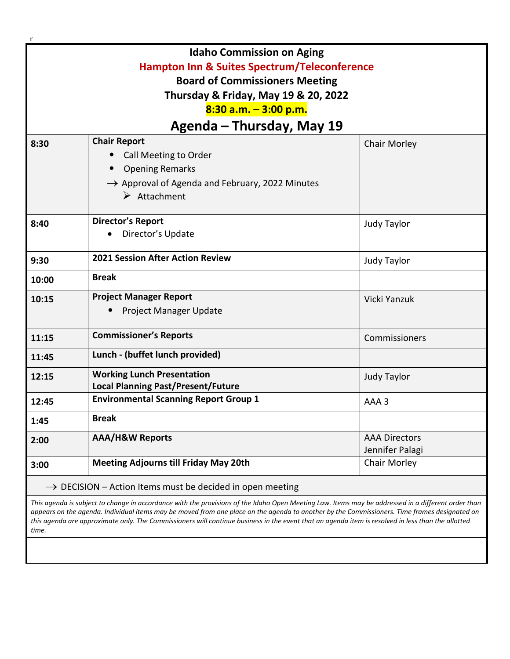| $\mathbf{r}$                                                          |                                                             |                      |  |
|-----------------------------------------------------------------------|-------------------------------------------------------------|----------------------|--|
| <b>Idaho Commission on Aging</b>                                      |                                                             |                      |  |
| <b>Hampton Inn &amp; Suites Spectrum/Teleconference</b>               |                                                             |                      |  |
| <b>Board of Commissioners Meeting</b>                                 |                                                             |                      |  |
| Thursday & Friday, May 19 & 20, 2022                                  |                                                             |                      |  |
| 8:30 a.m. - 3:00 p.m.                                                 |                                                             |                      |  |
| Agenda - Thursday, May 19                                             |                                                             |                      |  |
| 8:30                                                                  | <b>Chair Report</b>                                         | <b>Chair Morley</b>  |  |
|                                                                       | Call Meeting to Order                                       |                      |  |
|                                                                       | <b>Opening Remarks</b>                                      |                      |  |
|                                                                       | $\rightarrow$ Approval of Agenda and February, 2022 Minutes |                      |  |
|                                                                       | $\triangleright$ Attachment                                 |                      |  |
|                                                                       |                                                             |                      |  |
| 8:40                                                                  | <b>Director's Report</b>                                    | Judy Taylor          |  |
|                                                                       | Director's Update                                           |                      |  |
| 9:30                                                                  | <b>2021 Session After Action Review</b>                     | <b>Judy Taylor</b>   |  |
| 10:00                                                                 | <b>Break</b>                                                |                      |  |
| 10:15                                                                 | <b>Project Manager Report</b>                               | Vicki Yanzuk         |  |
|                                                                       | Project Manager Update                                      |                      |  |
|                                                                       |                                                             |                      |  |
| 11:15                                                                 | <b>Commissioner's Reports</b>                               | Commissioners        |  |
| 11:45                                                                 | Lunch - (buffet lunch provided)                             |                      |  |
| 12:15                                                                 | <b>Working Lunch Presentation</b>                           | <b>Judy Taylor</b>   |  |
|                                                                       | <b>Local Planning Past/Present/Future</b>                   |                      |  |
| 12:45                                                                 | <b>Environmental Scanning Report Group 1</b>                | AAA 3                |  |
| 1:45                                                                  | <b>Break</b>                                                |                      |  |
| 2:00                                                                  | <b>AAA/H&amp;W Reports</b>                                  | <b>AAA Directors</b> |  |
|                                                                       |                                                             | Jennifer Palagi      |  |
| 3:00                                                                  | <b>Meeting Adjourns till Friday May 20th</b>                | Chair Morley         |  |
| $\rightarrow$ DECISION – Action Items must be decided in open meeting |                                                             |                      |  |

*This agenda is subject to change in accordance with the provisions of the Idaho Open Meeting Law. Items may be addressed in a different order than appears on the agenda. Individual items may be moved from one place on the agenda to another by the Commissioners. Time frames designated on this agenda are approximate only. The Commissioners will continue business in the event that an agenda item is resolved in less than the allotted time.*